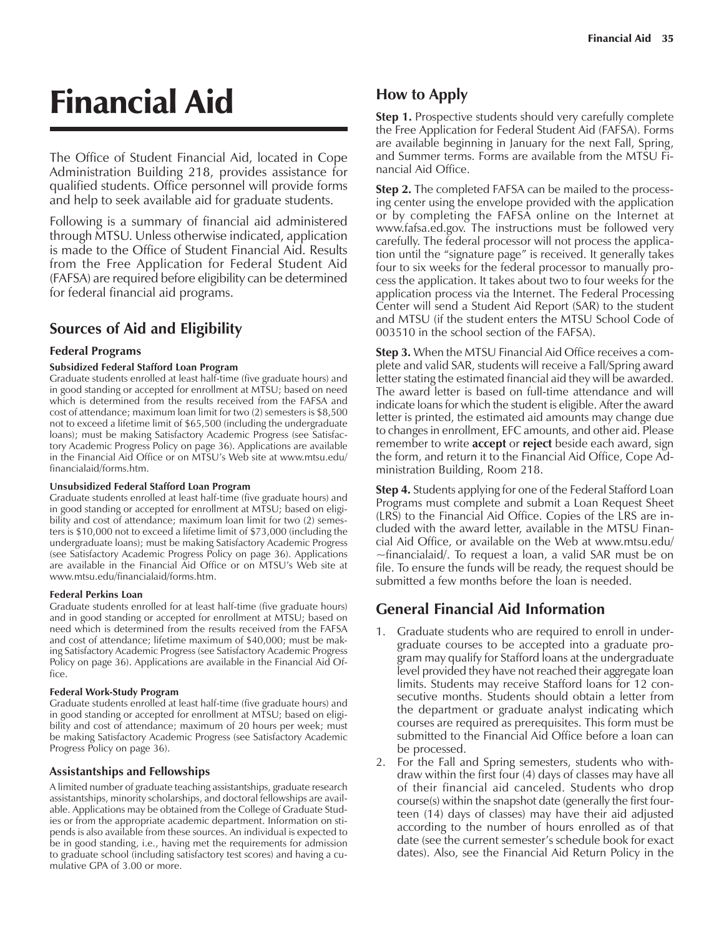# Financial Aid

The Office of Student Financial Aid, located in Cope Administration Building 218, provides assistance for qualified students. Office personnel will provide forms and help to seek available aid for graduate students.

Following is a summary of financial aid administered through MTSU. Unless otherwise indicated, application is made to the Office of Student Financial Aid. Results from the Free Application for Federal Student Aid (FAFSA) are required before eligibility can be determined for federal financial aid programs.

# **Sources of Aid and Eligibility**

# **Federal Programs**

#### **Subsidized Federal Stafford Loan Program**

Graduate students enrolled at least half-time (five graduate hours) and in good standing or accepted for enrollment at MTSU; based on need which is determined from the results received from the FAFSA and cost of attendance; maximum loan limit for two (2) semesters is \$8,500 not to exceed a lifetime limit of \$65,500 (including the undergraduate loans); must be making Satisfactory Academic Progress (see Satisfactory Academic Progress Policy on page 36). Applications are available in the Financial Aid Office or on MTSU's Web site at www.mtsu.edu/ financialaid/forms.htm.

#### **Unsubsidized Federal Stafford Loan Program**

Graduate students enrolled at least half-time (five graduate hours) and in good standing or accepted for enrollment at MTSU; based on eligibility and cost of attendance; maximum loan limit for two (2) semesters is \$10,000 not to exceed a lifetime limit of \$73,000 (including the undergraduate loans); must be making Satisfactory Academic Progress (see Satisfactory Academic Progress Policy on page 36). Applications are available in the Financial Aid Office or on MTSU's Web site at www.mtsu.edu/financialaid/forms.htm.

#### **Federal Perkins Loan**

Graduate students enrolled for at least half-time (five graduate hours) and in good standing or accepted for enrollment at MTSU; based on need which is determined from the results received from the FAFSA and cost of attendance; lifetime maximum of \$40,000; must be making Satisfactory Academic Progress (see Satisfactory Academic Progress Policy on page 36). Applications are available in the Financial Aid Office.

#### **Federal Work-Study Program**

Graduate students enrolled at least half-time (five graduate hours) and in good standing or accepted for enrollment at MTSU; based on eligibility and cost of attendance; maximum of 20 hours per week; must be making Satisfactory Academic Progress (see Satisfactory Academic Progress Policy on page 36).

# **Assistantships and Fellowships**

A limited number of graduate teaching assistantships, graduate research assistantships, minority scholarships, and doctoral fellowships are available. Applications may be obtained from the College of Graduate Studies or from the appropriate academic department. Information on stipends is also available from these sources. An individual is expected to be in good standing, i.e., having met the requirements for admission to graduate school (including satisfactory test scores) and having a cumulative GPA of 3.00 or more.

# **How to Apply**

**Step 1.** Prospective students should very carefully complete the Free Application for Federal Student Aid (FAFSA). Forms are available beginning in January for the next Fall, Spring, and Summer terms. Forms are available from the MTSU Financial Aid Office.

**Step 2.** The completed FAFSA can be mailed to the processing center using the envelope provided with the application or by completing the FAFSA online on the Internet at www.fafsa.ed.gov. The instructions must be followed very carefully. The federal processor will not process the application until the "signature page" is received. It generally takes four to six weeks for the federal processor to manually process the application. It takes about two to four weeks for the application process via the Internet. The Federal Processing Center will send a Student Aid Report (SAR) to the student and MTSU (if the student enters the MTSU School Code of 003510 in the school section of the FAFSA).

**Step 3.** When the MTSU Financial Aid Office receives a complete and valid SAR, students will receive a Fall/Spring award letter stating the estimated financial aid they will be awarded. The award letter is based on full-time attendance and will indicate loans for which the student is eligible. After the award letter is printed, the estimated aid amounts may change due to changes in enrollment, EFC amounts, and other aid. Please remember to write **accept** or **reject** beside each award, sign the form, and return it to the Financial Aid Office, Cope Administration Building, Room 218.

**Step 4.** Students applying for one of the Federal Stafford Loan Programs must complete and submit a Loan Request Sheet (LRS) to the Financial Aid Office. Copies of the LRS are included with the award letter, available in the MTSU Financial Aid Office, or available on the Web at www.mtsu.edu/  $\sim$ financialaid/. To request a loan, a valid SAR must be on file. To ensure the funds will be ready, the request should be submitted a few months before the loan is needed.

# **General Financial Aid Information**

- 1. Graduate students who are required to enroll in undergraduate courses to be accepted into a graduate program may qualify for Stafford loans at the undergraduate level provided they have not reached their aggregate loan limits. Students may receive Stafford loans for 12 consecutive months. Students should obtain a letter from the department or graduate analyst indicating which courses are required as prerequisites. This form must be submitted to the Financial Aid Office before a loan can be processed.
- 2. For the Fall and Spring semesters, students who withdraw within the first four (4) days of classes may have all of their financial aid canceled. Students who drop course(s) within the snapshot date (generally the first fourteen (14) days of classes) may have their aid adjusted according to the number of hours enrolled as of that date (see the current semester's schedule book for exact dates). Also, see the Financial Aid Return Policy in the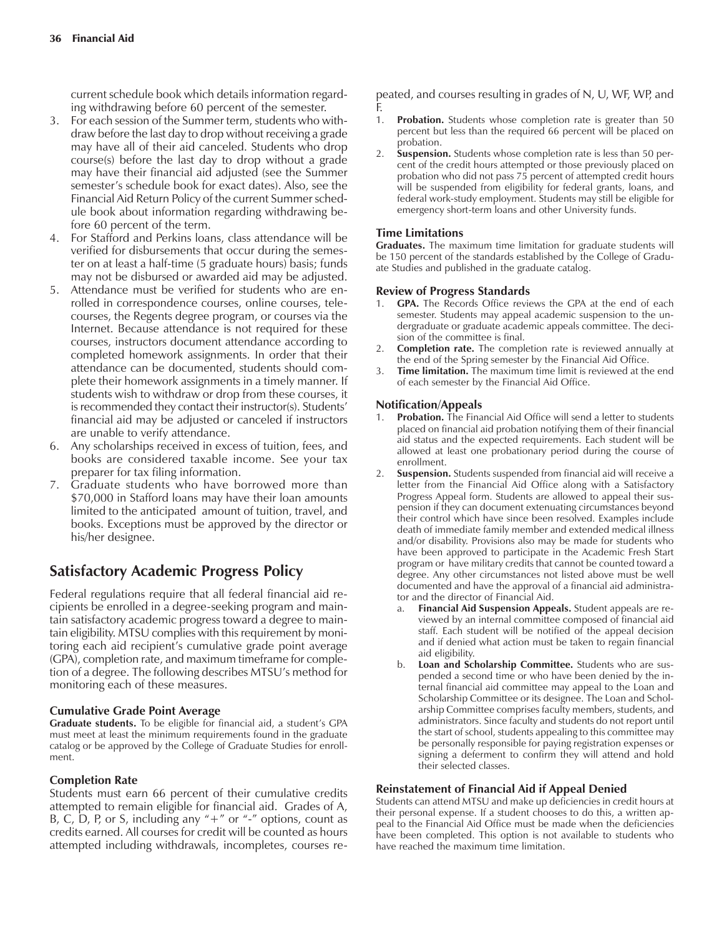current schedule book which details information regarding withdrawing before 60 percent of the semester.

- 3. For each session of the Summer term, students who withdraw before the last day to drop without receiving a grade may have all of their aid canceled. Students who drop course(s) before the last day to drop without a grade may have their financial aid adjusted (see the Summer semesterís schedule book for exact dates). Also, see the Financial Aid Return Policy of the current Summer schedule book about information regarding withdrawing before 60 percent of the term.
- 4. For Stafford and Perkins loans, class attendance will be verified for disbursements that occur during the semester on at least a half-time (5 graduate hours) basis; funds may not be disbursed or awarded aid may be adjusted.
- 5. Attendance must be verified for students who are enrolled in correspondence courses, online courses, telecourses, the Regents degree program, or courses via the Internet. Because attendance is not required for these courses, instructors document attendance according to completed homework assignments. In order that their attendance can be documented, students should complete their homework assignments in a timely manner. If students wish to withdraw or drop from these courses, it is recommended they contact their instructor(s). Students' financial aid may be adjusted or canceled if instructors are unable to verify attendance.
- 6. Any scholarships received in excess of tuition, fees, and books are considered taxable income. See your tax preparer for tax filing information.
- 7. Graduate students who have borrowed more than \$70,000 in Stafford loans may have their loan amounts limited to the anticipated amount of tuition, travel, and books. Exceptions must be approved by the director or his/her designee.

# **Satisfactory Academic Progress Policy**

Federal regulations require that all federal financial aid recipients be enrolled in a degree-seeking program and maintain satisfactory academic progress toward a degree to maintain eligibility. MTSU complies with this requirement by monitoring each aid recipient's cumulative grade point average (GPA), completion rate, and maximum timeframe for completion of a degree. The following describes MTSU's method for monitoring each of these measures.

# **Cumulative Grade Point Average**

Graduate students. To be eligible for financial aid, a student's GPA must meet at least the minimum requirements found in the graduate catalog or be approved by the College of Graduate Studies for enrollment.

# **Completion Rate**

Students must earn 66 percent of their cumulative credits attempted to remain eligible for financial aid. Grades of A, B, C, D, P, or S, including any  $4 + 7$  or  $4 - 7$  options, count as credits earned. All courses for credit will be counted as hours attempted including withdrawals, incompletes, courses repeated, and courses resulting in grades of N, U, WF, WP, and F.

- 1. **Probation.** Students whose completion rate is greater than 50 percent but less than the required 66 percent will be placed on probation.
- 2. **Suspension.** Students whose completion rate is less than 50 percent of the credit hours attempted or those previously placed on probation who did not pass 75 percent of attempted credit hours will be suspended from eligibility for federal grants, loans, and federal work-study employment. Students may still be eligible for emergency short-term loans and other University funds.

# **Time Limitations**

**Graduates.** The maximum time limitation for graduate students will be 150 percent of the standards established by the College of Graduate Studies and published in the graduate catalog.

## **Review of Progress Standards**

- 1. **GPA.** The Records Office reviews the GPA at the end of each semester. Students may appeal academic suspension to the undergraduate or graduate academic appeals committee. The decision of the committee is final.
- 2. **Completion rate.** The completion rate is reviewed annually at the end of the Spring semester by the Financial Aid Office.
- 3. **Time limitation.** The maximum time limit is reviewed at the end of each semester by the Financial Aid Office.

## **Notification/Appeals**

- Probation. The Financial Aid Office will send a letter to students placed on financial aid probation notifying them of their financial aid status and the expected requirements. Each student will be allowed at least one probationary period during the course of enrollment.
- 2. **Suspension.** Students suspended from financial aid will receive a letter from the Financial Aid Office along with a Satisfactory Progress Appeal form. Students are allowed to appeal their suspension if they can document extenuating circumstances beyond their control which have since been resolved. Examples include death of immediate family member and extended medical illness and/or disability. Provisions also may be made for students who have been approved to participate in the Academic Fresh Start program or have military credits that cannot be counted toward a degree. Any other circumstances not listed above must be well documented and have the approval of a financial aid administrator and the director of Financial Aid.
	- a. **Financial Aid Suspension Appeals.** Student appeals are reviewed by an internal committee composed of financial aid staff. Each student will be notified of the appeal decision and if denied what action must be taken to regain financial aid eligibility.
	- b. **Loan and Scholarship Committee.** Students who are suspended a second time or who have been denied by the internal financial aid committee may appeal to the Loan and Scholarship Committee or its designee. The Loan and Scholarship Committee comprises faculty members, students, and administrators. Since faculty and students do not report until the start of school, students appealing to this committee may be personally responsible for paying registration expenses or signing a deferment to confirm they will attend and hold their selected classes.

#### **Reinstatement of Financial Aid if Appeal Denied**

Students can attend MTSU and make up deficiencies in credit hours at their personal expense. If a student chooses to do this, a written appeal to the Financial Aid Office must be made when the deficiencies have been completed. This option is not available to students who have reached the maximum time limitation.